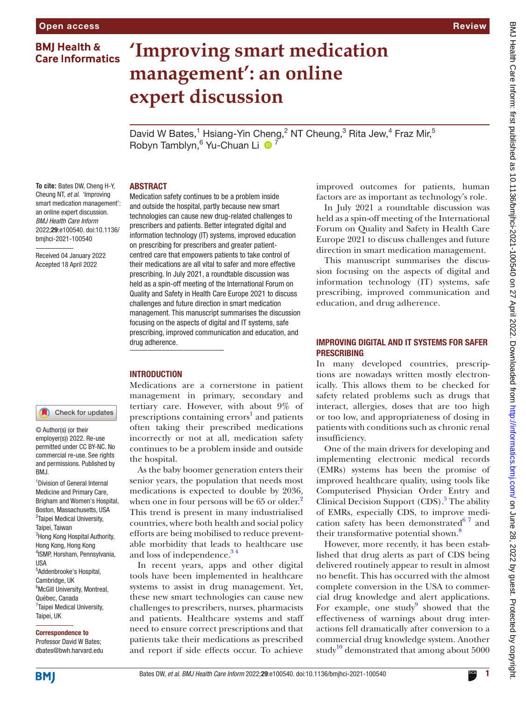**BMJ Health & Care Informatics** 

## **'Improving smart medication management': an online expert discussion** David W Bates,<sup>1</sup> Hsiang-Yin Cheng,<sup>2</sup> NT Cheung,<sup>3</sup> Rita Jew,<sup>4</sup> Fraz Mir,<sup>5</sup> Robyn Tamblyn,<sup>6</sup> Yu-Chuan Li <sup>1</sup> Medication safety continues to be a problem inside and outside the hospital, partly because new smart technologies can cause new drug-related challenges to prescribers and patients. Better integrated digital and information technology (IT) systems, improved education on prescribing for prescribers and greater patientcentred care that empowers patients to take control of their medications are all vital to safer and more effective prescribing. In July 2021, a roundtable discussion was held as a spin-off meeting of the International Forum on Quality and Safety in Health Care Europe 2021 to discuss challenges and future direction in smart medication management. This manuscript summarises the discussion focusing on the aspects of digital and IT systems, safe prescribing, improved communication and education, and

#### **To cite:** Bates DW, Cheng H-Y, Cheung NT, *et al*. 'Improving smart medication management': an online expert discussion. *BMJ Health Care Inform* 2022;29:e100540. doi:10.1136/ bmjhci-2021-100540

ABSTRACT

drug adherence.

**INTRODUCTION** 

Received 04 January 2022 Accepted 18 April 2022

#### Check for updates

© Author(s) (or their employer(s)) 2022. Re-use permitted under CC BY-NC. No commercial re-use. See rights and permissions. Published by BMJ.

<sup>1</sup> Division of General Internal Medicine and Primary Care, Brigham and Women's Hospital, Boston, Massachusetts, USA <sup>2</sup>Taipei Medical University, Taipei, Taiwan <sup>3</sup>Hong Kong Hospital Authority, Hong Kong, Hong Kong 4 ISMP, Horsham, Pennsylvania, USA 5 Addenbrooke's Hospital, Cambridge, UK <sup>6</sup>McGill University, Montreal, Québec, Canada <sup>7</sup>Taipei Medical University, Taipei, UK

#### Correspondence to

Professor David W Bates; dbates@bwh.harvard.edu Medications are a cornerstone in patient management in primary, secondary and tertiary care. However, with about 9% of prescriptions containing errors<sup>[1](#page-3-0)</sup> and patients often taking their prescribed medications incorrectly or not at all, medication safety continues to be a problem inside and outside the hospital.

As the baby boomer generation enters their senior years, the population that needs most medications is expected to double by 2036, when one in four persons will be 65 or older.<sup>[2](#page-3-1)</sup> This trend is present in many industrialised countries, where both health and social policy efforts are being mobilised to reduce preventable morbidity that leads to healthcare use and loss of independence.<sup>34</sup>

In recent years, apps and other digital tools have been implemented in healthcare systems to assist in drug management. Yet, these new smart technologies can cause new challenges to prescribers, nurses, pharmacists and patients. Healthcare systems and staff need to ensure correct prescriptions and that patients take their medications as prescribed and report if side effects occur. To achieve

improved outcomes for patients, human factors are as important as technology's role.

In July 2021 a roundtable discussion was held as a spin-off meeting of the International Forum on Quality and Safety in Health Care Europe 2021 to discuss challenges and future direction in smart medication management.

This manuscript summarises the discussion focusing on the aspects of digital and information technology (IT) systems, safe prescribing, improved communication and education, and drug adherence.

## IMPROVING DIGITAL AND IT SYSTEMS FOR SAFER PRESCRIBING

In many developed countries, prescriptions are nowadays written mostly electronically. This allows them to be checked for safety related problems such as drugs that interact, allergies, doses that are too high or too low, and appropriateness of dosing in patients with conditions such as chronic renal insufficiency.

One of the main drivers for developing and implementing electronic medical records (EMRs) systems has been the promise of improved healthcare quality, using tools like Computerised Physician Order Entry and Clinical Decision Support (CDS).<sup>[5](#page-3-3)</sup> The ability of EMRs, especially CDS, to improve medication safety has been demonstrated $67$  and their transformative potential shown.<sup>[8](#page-3-5)</sup>

However, more recently, it has been established that drug alerts as part of CDS being delivered routinely appear to result in almost no benefit. This has occurred with the almost complete conversion in the USA to commercial drug knowledge and alert applications. For example, one study $9$  showed that the effectiveness of warnings about drug interactions fell dramatically after conversion to a commercial drug knowledge system. Another study<sup>10</sup> demonstrated that among about  $5000$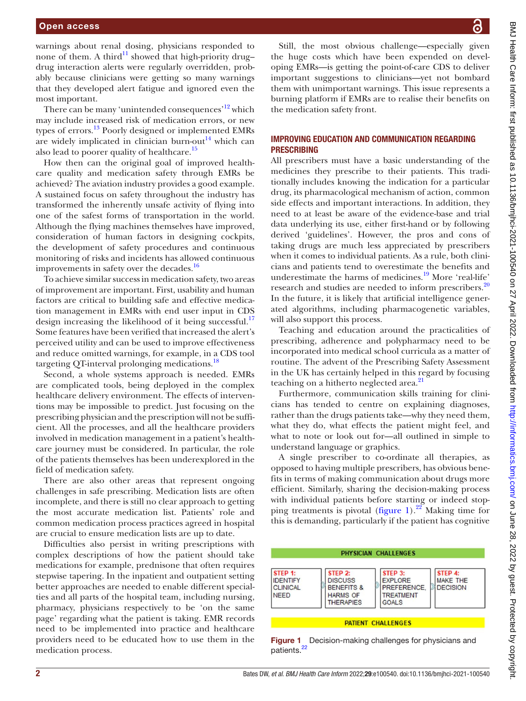warnings about renal dosing, physicians responded to none of them. A third<sup>11</sup> showed that high-priority drug– drug interaction alerts were regularly overridden, probably because clinicians were getting so many warnings that they developed alert fatigue and ignored even the most important.

There can be many 'unintended consequences'<sup>12</sup> which may include increased risk of medication errors, or new types of errors.[13](#page-3-10) Poorly designed or implemented EMRs are widely implicated in clinician burn-out<sup>14</sup> which can also lead to poorer quality of healthcare.<sup>[15](#page-3-12)</sup>

How then can the original goal of improved healthcare quality and medication safety through EMRs be achieved? The aviation industry provides a good example. A sustained focus on safety throughout the industry has transformed the inherently unsafe activity of flying into one of the safest forms of transportation in the world. Although the flying machines themselves have improved, consideration of human factors in designing cockpits, the development of safety procedures and continuous monitoring of risks and incidents has allowed continuous improvements in safety over the decades. $\frac{16}{16}$  $\frac{16}{16}$  $\frac{16}{16}$ 

To achieve similar success in medication safety, two areas of improvement are important. First, usability and human factors are critical to building safe and effective medication management in EMRs with end user input in CDS design increasing the likelihood of it being successful.<sup>[17](#page-3-14)</sup> Some features have been verified that increased the alert's perceived utility and can be used to improve effectiveness and reduce omitted warnings, for example, in a CDS tool targeting OT-interval prolonging medications.<sup>18</sup>

Second, a whole systems approach is needed. EMRs are complicated tools, being deployed in the complex healthcare delivery environment. The effects of interventions may be impossible to predict. Just focusing on the prescribing physician and the prescription will not be sufficient. All the processes, and all the healthcare providers involved in medication management in a patient's healthcare journey must be considered. In particular, the role of the patients themselves has been underexplored in the field of medication safety.

There are also other areas that represent ongoing challenges in safe prescribing. Medication lists are often incomplete, and there is still no clear approach to getting the most accurate medication list. Patients' role and common medication process practices agreed in hospital are crucial to ensure medication lists are up to date.

Difficulties also persist in writing prescriptions with complex descriptions of how the patient should take medications for example, prednisone that often requires stepwise tapering. In the inpatient and outpatient setting better approaches are needed to enable different specialties and all parts of the hospital team, including nursing, pharmacy, physicians respectively to be 'on the same page' regarding what the patient is taking. EMR records need to be implemented into practice and healthcare providers need to be educated how to use them in the medication process.

BMJ Health Care Inform: first published as 10.1136/bmlhoi-2021-100540 on 27 April 2022. Downloaded from http://informatics.bmj.com/ on June 28, 2022 by guest. Protected by copyright BMJ Health Care Inform: first published as 10.1136/bmjhci-2021-100540 on 27 April 2022. Downloaded from <http://informatics.bmj.com/> on June 28, 2022 by guest. Protected by copyright.

Still, the most obvious challenge—especially given the huge costs which have been expended on developing EMRs—is getting the point-of-care CDS to deliver important suggestions to clinicians—yet not bombard them with unimportant warnings. This issue represents a burning platform if EMRs are to realise their benefits on the medication safety front.

### IMPROVING EDUCATION AND COMMUNICATION REGARDING PRESCRIBING

All prescribers must have a basic understanding of the medicines they prescribe to their patients. This traditionally includes knowing the indication for a particular drug, its pharmacological mechanism of action, common side effects and important interactions. In addition, they need to at least be aware of the evidence-base and trial data underlying its use, either first-hand or by following derived 'guidelines'. However, the pros and cons of taking drugs are much less appreciated by prescribers when it comes to individual patients. As a rule, both clinicians and patients tend to overestimate the benefits and underestimate the harms of medicines.<sup>19</sup> More 'real-life' research and studies are needed to inform prescribers.<sup>[20](#page-3-17)</sup> In the future, it is likely that artificial intelligence generated algorithms, including pharmacogenetic variables, will also support this process.

Teaching and education around the practicalities of prescribing, adherence and polypharmacy need to be incorporated into medical school curricula as a matter of routine. The advent of the Prescribing Safety Assessment in the UK has certainly helped in this regard by focusing teaching on a hitherto neglected area.<sup>21</sup>

Furthermore, communication skills training for clinicians has tended to centre on explaining diagnoses, rather than the drugs patients take—why they need them, what they do, what effects the patient might feel, and what to note or look out for—all outlined in simple to understand language or graphics.

A single prescriber to co-ordinate all therapies, as opposed to having multiple prescribers, has obvious benefits in terms of making communication about drugs more efficient. Similarly, sharing the decision-making process with individual patients before starting or indeed stopping treatments is pivotal ([figure](#page-1-0) 1).<sup>22</sup> Making time for this is demanding, particularly if the patient has cognitive



<span id="page-1-0"></span>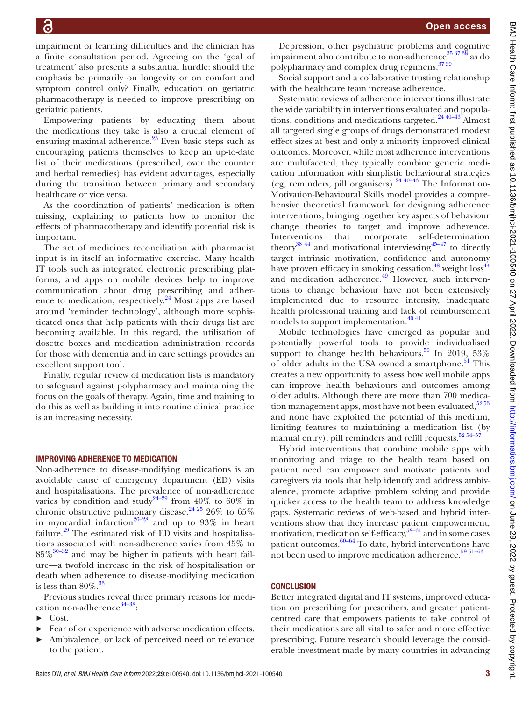Open access

impairment or learning difficulties and the clinician has a finite consultation period. Agreeing on the 'goal of treatment' also presents a substantial hurdle: should the emphasis be primarily on longevity or on comfort and symptom control only? Finally, education on geriatric pharmacotherapy is needed to improve prescribing on geriatric patients.

Empowering patients by educating them about the medications they take is also a crucial element of ensuring maximal adherence. $^{23}$  Even basic steps such as encouraging patients themselves to keep an up-to-date list of their medications (prescribed, over the counter and herbal remedies) has evident advantages, especially during the transition between primary and secondary healthcare or vice versa.

As the coordination of patients' medication is often missing, explaining to patients how to monitor the effects of pharmacotherapy and identify potential risk is important.

The act of medicines reconciliation with pharmacist input is in itself an informative exercise. Many health IT tools such as integrated electronic prescribing platforms, and apps on mobile devices help to improve communication about drug prescribing and adherence to medication, respectively.<sup>24</sup> Most apps are based around 'reminder technology', although more sophisticated ones that help patients with their drugs list are becoming available. In this regard, the utilisation of dosette boxes and medication administration records for those with dementia and in care settings provides an excellent support tool.

Finally, regular review of medication lists is mandatory to safeguard against polypharmacy and maintaining the focus on the goals of therapy. Again, time and training to do this as well as building it into routine clinical practice is an increasing necessity.

#### IMPROVING ADHERENCE TO MEDICATION

Non-adherence to disease-modifying medications is an avoidable cause of emergency department (ED) visits and hospitalisations. The prevalence of non-adherence varies by condition and study<sup>24–29</sup> from 40% to 60% in chronic obstructive pulmonary disease,  $24\frac{25}{5}$  26% to 65% in myocardial infarction<sup>[26–28](#page-3-22)</sup> and up to 93% in heart failure. $29$  The estimated risk of ED visits and hospitalisations associated with non-adherence varies from 45% to  $85\%$ <sup>[30–32](#page-3-24)</sup> and may be higher in patients with heart failure—a twofold increase in the risk of hospitalisation or death when adherence to disease-modifying medication is less than  $80\%$ .<sup>[33](#page-3-25)</sup>

Previous studies reveal three primary reasons for medication non-adherence $34-38$ :

- ► Cost.
- ► Fear of or experience with adverse medication effects.
- ► Ambivalence, or lack of perceived need or relevance to the patient.

Depression, other psychiatric problems and cognitive impairment also contribute to non-adherence  $35\frac{37\frac{38}{37}}{38}$  as do polypharmacy and complex drug regimens.<sup>3739</sup>

Social support and a collaborative trusting relationship with the healthcare team increase adherence.

Systematic reviews of adherence interventions illustrate the wide variability in interventions evaluated and populations, conditions and medications targeted.<sup>24 40–43</sup> Almost all targeted single groups of drugs demonstrated modest effect sizes at best and only a minority improved clinical outcomes. Moreover, while most adherence interventions are multifaceted, they typically combine generic medication information with simplistic behavioural strategies (eg, reminders, pill organisers). $2440-43$  The Information-Motivation-Behavioural Skills model provides a comprehensive theoretical framework for designing adherence interventions, bringing together key aspects of behaviour change theories to target and improve adherence. Interventions that incorporate self-determination theory<sup>38</sup><sup>44</sup> and motivational interviewing<sup>45–47</sup> to directly target intrinsic motivation, confidence and autonomy have proven efficacy in smoking cessation,<sup>48</sup> weight loss<sup>[44](#page-4-2)</sup> and medication adherence.<sup>49</sup> However, such interventions to change behaviour have not been extensively implemented due to resource intensity, inadequate health professional training and lack of reimbursement models to support implementation.<sup>40 41</sup>

Mobile technologies have emerged as popular and potentially powerful tools to provide individualised support to change health behaviours.<sup>50</sup> In 2019, 53% of older adults in the USA owned a smartphone.<sup>[51](#page-4-5)</sup> This creates a new opportunity to assess how well mobile apps can improve health behaviours and outcomes among older adults. Although there are more than 700 medication management apps, most have not been evaluated,<sup>5253</sup> and none have exploited the potential of this medium, limiting features to maintaining a medication list (by manual entry), pill reminders and refill requests.<sup>52 54-57</sup>

Hybrid interventions that combine mobile apps with monitoring and triage to the health team based on patient need can empower and motivate patients and caregivers via tools that help identify and address ambivalence, promote adaptive problem solving and provide quicker access to the health team to address knowledge gaps. Systematic reviews of web-based and hybrid interventions show that they increase patient empowerment, motivation, medication self-efficacy, [58–61](#page-4-7) and in some cases patient outcomes. $60-64$  To date, hybrid interventions have not been used to improve medication adherence.<sup>59 61-63</sup>

#### **CONCLUSION**

Better integrated digital and IT systems, improved education on prescribing for prescribers, and greater patientcentred care that empowers patients to take control of their medications are all vital to safer and more effective prescribing. Future research should leverage the considerable investment made by many countries in advancing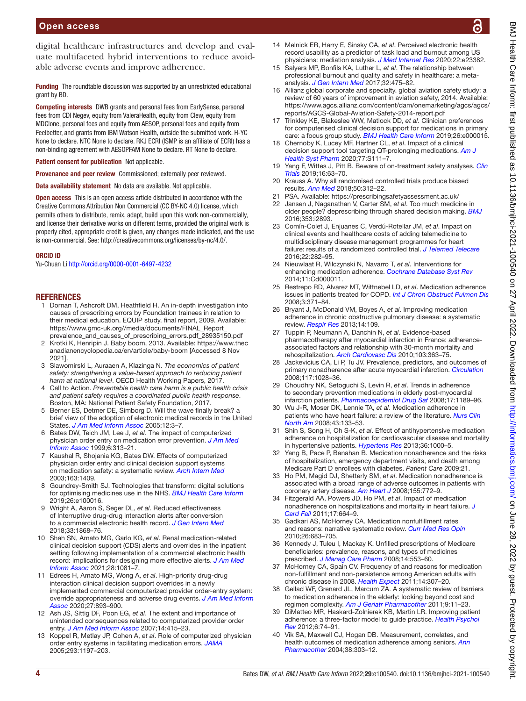digital healthcare infrastructures and develop and evaluate multifaceted hybrid interventions to reduce avoidable adverse events and improve adherence.

Funding The roundtable discussion was supported by an unrestricted educational grant by BD.

Competing interests DWB grants and personal fees from EarlySense, personal fees from CDI Negev, equity from ValeraHealth, equity from Clew, equity from MDClone, personal fees and equity from AESOP, personal fees and equity from Feelbetter, and grants from IBM Watson Health, outside the submitted work. H-YC None to declare. NTC None to declare. RKJ ECRI (ISMP is an affiliate of ECRI) has a non-binding agreement with AESOPFAM None to declare. RT None to declare.

Patient consent for publication Not applicable.

Provenance and peer review Commissioned; externally peer reviewed.

Data availability statement No data are available. Not applicable.

Open access This is an open access article distributed in accordance with the Creative Commons Attribution Non Commercial (CC BY-NC 4.0) license, which permits others to distribute, remix, adapt, build upon this work non-commercially, and license their derivative works on different terms, provided the original work is properly cited, appropriate credit is given, any changes made indicated, and the use is non-commercial. See: [http://creativecommons.org/licenses/by-nc/4.0/.](http://creativecommons.org/licenses/by-nc/4.0/)

#### ORCID iD

Yu-Chuan Li<http://orcid.org/0000-0001-6497-4232>

#### REFERENCES

- <span id="page-3-0"></span>1 Dornan T, Ashcroft DM, Heathfield H. An in-depth investigation into causes of prescribing errors by Foundation trainees in relation to their medical education. EQUIP study. final report, 2009. Available: [https://www.gmc-uk.org//media/documents/FINAL\\_Report\\_](https://www.gmc-uk.org//media/documents/FINAL_Report_prevalence_and_causes_of_prescribing_errors.pdf_28935150.pdf) [prevalence\\_and\\_causes\\_of\\_prescribing\\_errors.pdf\\_28935150.pdf](https://www.gmc-uk.org//media/documents/FINAL_Report_prevalence_and_causes_of_prescribing_errors.pdf_28935150.pdf)
- <span id="page-3-1"></span>2 Krotki K, Henripin J. Baby boom, 2013. Available: [https://www.thec](https://www.thecanadianencyclopedia.ca/en/article/baby-boom) [anadianencyclopedia.ca/en/article/baby-boom](https://www.thecanadianencyclopedia.ca/en/article/baby-boom) [Accessed 8 Nov 2021].
- <span id="page-3-2"></span>3 Slawomirski L, Auraaen A, Klazinga N. *The economics of patient safety: strengthening a value-based approach to reducing patient harm at national level*. OECD Health Working Papers, 2017.
- 4 Call to Action. *Preventable health care harm is a public health crisis and patient safety requires a coordinated public health response*. Boston, MA: National Patient Safety Foundation, 2017.
- <span id="page-3-3"></span>5 Berner ES, Detmer DE, Simborg D. Will the wave finally break? a brief view of the adoption of electronic medical records in the United States. *[J Am Med Inform Assoc](http://dx.doi.org/10.1197/jamia.M1664)* 2005;12:3–7.
- <span id="page-3-4"></span>6 Bates DW, Teich JM, Lee J, *et al*. The impact of computerized physician order entry on medication error prevention. *[J Am Med](http://dx.doi.org/10.1136/jamia.1999.00660313)  [Inform Assoc](http://dx.doi.org/10.1136/jamia.1999.00660313)* 1999;6:313–21.
- 7 Kaushal R, Shojania KG, Bates DW. Effects of computerized physician order entry and clinical decision support systems on medication safety: a systematic review. *[Arch Intern Med](http://dx.doi.org/10.1001/archinte.163.12.1409)* 2003;163:1409.
- <span id="page-3-5"></span>8 Goundrey-Smith SJ. Technologies that transform: digital solutions for optimising medicines use in the NHS. *[BMJ Health Care Inform](http://dx.doi.org/10.1136/bmjhci-2019-100016)* 2019;26:e100016.
- <span id="page-3-6"></span>9 Wright A, Aaron S, Seger DL, *et al*. Reduced effectiveness of Interruptive drug-drug interaction alerts after conversion to a commercial electronic health record. *[J Gen Intern Med](http://dx.doi.org/10.1007/s11606-018-4415-9)* 2018;33:1868–76.
- <span id="page-3-7"></span>10 Shah SN, Amato MG, Garlo KG, *et al*. Renal medication-related clinical decision support (CDS) alerts and overrides in the inpatient setting following implementation of a commercial electronic health record: implications for designing more effective alerts. *[J Am Med](http://dx.doi.org/10.1093/jamia/ocaa222)  [Inform Assoc](http://dx.doi.org/10.1093/jamia/ocaa222)* 2021;28:1081–7.
- <span id="page-3-8"></span>11 Edrees H, Amato MG, Wong A, *et al*. High-priority drug-drug interaction clinical decision support overrides in a newly implemented commercial computerized provider order-entry system: override appropriateness and adverse drug events. *[J Am Med Inform](http://dx.doi.org/10.1093/jamia/ocaa034)  [Assoc](http://dx.doi.org/10.1093/jamia/ocaa034)* 2020;27:893–900.
- <span id="page-3-9"></span>12 Ash JS, Sittig DF, Poon EG, *et al*. The extent and importance of unintended consequences related to computerized provider order entry. *[J Am Med Inform Assoc](http://dx.doi.org/10.1197/jamia.M2373)* 2007;14:415–23.
- <span id="page-3-10"></span>13 Koppel R, Metlay JP, Cohen A, *et al*. Role of computerized physician order entry systems in facilitating medication errors. *[JAMA](http://dx.doi.org/10.1001/jama.293.10.1197)* 2005;293:1197–203.
- <span id="page-3-11"></span>14 Melnick ER, Harry E, Sinsky CA, *et al*. Perceived electronic health record usability as a predictor of task load and burnout among US physicians: mediation analysis. *[J Med Internet Res](http://dx.doi.org/10.2196/23382)* 2020;22:e23382.
- <span id="page-3-12"></span>15 Salyers MP, Bonfils KA, Luther L, *et al*. The relationship between professional burnout and quality and safety in healthcare: a metaanalysis. *[J Gen Intern Med](http://dx.doi.org/10.1007/s11606-016-3886-9)* 2017;32:475–82.
- <span id="page-3-13"></span>16 Allianz global corporate and specialty. global aviation safety study: a review of 60 years of improvement in aviation safety, 2014. Available: [https://www.agcs.allianz.com/content/dam/onemarketing/agcs/agcs/](https://www.agcs.allianz.com/content/dam/onemarketing/agcs/agcs/reports/AGCS-Global-Aviation-Safety-2014-report.pdf) [reports/AGCS-Global-Aviation-Safety-2014-report.pdf](https://www.agcs.allianz.com/content/dam/onemarketing/agcs/agcs/reports/AGCS-Global-Aviation-Safety-2014-report.pdf)
- <span id="page-3-14"></span>17 Trinkley KE, Blakeslee WW, Matlock DD, *et al*. Clinician preferences for computerised clinical decision support for medications in primary care: a focus group study. *[BMJ Health Care Inform](http://dx.doi.org/10.1136/bmjhci-2019-000015)* 2019;26:e000015.
- <span id="page-3-15"></span>18 Chernoby K, Lucey MF, Hartner CL, *et al*. Impact of a clinical decision support tool targeting QT-prolonging medications. *[Am J](http://dx.doi.org/10.1093/ajhp/zxaa269)  [Health Syst Pharm](http://dx.doi.org/10.1093/ajhp/zxaa269)* 2020;77:S111–7.
- <span id="page-3-16"></span>19 Yang F, Wittes J, Pitt B. Beware of on-treatment safety analyses. *[Clin](http://dx.doi.org/10.1177/1740774518812774)  [Trials](http://dx.doi.org/10.1177/1740774518812774)* 2019;16:63–70.
- <span id="page-3-17"></span>20 Krauss A. Why all randomised controlled trials produce biased results. *[Ann Med](http://dx.doi.org/10.1080/07853890.2018.1453233)* 2018;50:312–22.
- <span id="page-3-19"></span><span id="page-3-18"></span>PSA. Available: <https://prescribingsafetyassessment.ac.uk/> 22 Jansen J, Naganathan V, Carter SM, *et al*. Too much medicine in
- older people? deprescribing through shared decision making. *[BMJ](http://dx.doi.org/10.1136/bmj.i2893)* 2016;353:i2893.
- <span id="page-3-20"></span>23 Comín-Colet J, Enjuanes C, Verdú-Rotellar JM, *et al*. Impact on clinical events and healthcare costs of adding telemedicine to multidisciplinary disease management programmes for heart failure: results of a randomized controlled trial. *[J Telemed Telecare](http://dx.doi.org/10.1177/1357633X15600583)* 2016;22:282–95.
- <span id="page-3-21"></span>24 Nieuwlaat R, Wilczynski N, Navarro T, *et al*. Interventions for enhancing medication adherence. *[Cochrane Database Syst Rev](http://dx.doi.org/10.1002/14651858.CD000011.pub4)* 2014;11:Cd000011.
- 25 Restrepo RD, Alvarez MT, Wittnebel LD, *et al*. Medication adherence issues in patients treated for COPD. *[Int J Chron Obstruct Pulmon Dis](http://dx.doi.org/10.2147/copd.s3036)* 2008;3:371–84.
- <span id="page-3-22"></span>26 Bryant J, McDonald VM, Boyes A, *et al*. Improving medication adherence in chronic obstructive pulmonary disease: a systematic review. *[Respir Res](http://dx.doi.org/10.1186/1465-9921-14-109)* 2013;14:109.
- 27 Tuppin P, Neumann A, Danchin N, *et al*. Evidence-based pharmacotherapy after myocardial infarction in France: adherenceassociated factors and relationship with 30-month mortality and rehospitalization. *[Arch Cardiovasc Dis](http://dx.doi.org/10.1016/j.acvd.2010.05.003)* 2010;103:363–75.
- 28 Jackevicius CA, Li P, Tu JV. Prevalence, predictors, and outcomes of primary nonadherence after acute myocardial infarction. *[Circulation](http://dx.doi.org/10.1161/CIRCULATIONAHA.107.706820)* 2008;117:1028–36.
- <span id="page-3-23"></span>29 Choudhry NK, Setoguchi S, Levin R, *et al*. Trends in adherence to secondary prevention medications in elderly post-myocardial infarction patients. *[Pharmacoepidemiol Drug Saf](http://dx.doi.org/10.1002/pds.1671)* 2008;17:1189–96.
- <span id="page-3-24"></span>30 Wu J-R, Moser DK, Lennie TA, *et al*. Medication adherence in patients who have heart failure: a review of the literature. *[Nurs Clin](http://dx.doi.org/10.1016/j.cnur.2007.10.006)  [North Am](http://dx.doi.org/10.1016/j.cnur.2007.10.006)* 2008;43:133–53.
- 31 Shin S, Song H, Oh S-K, *et al*. Effect of antihypertensive medication adherence on hospitalization for cardiovascular disease and mortality in hypertensive patients. *[Hypertens Res](http://dx.doi.org/10.1038/hr.2013.85)* 2013;36:1000–5.
- 32 Yang B, Pace P, Banahan B. Medication nonadherence and the risks of hospitalization, emergency department visits, and death among Medicare Part D enrollees with diabetes. *Patient Care* 2009;21.
- <span id="page-3-25"></span>33 Ho PM, Magid DJ, Shetterly SM, *et al*. Medication nonadherence is associated with a broad range of adverse outcomes in patients with coronary artery disease. *[Am Heart J](http://dx.doi.org/10.1016/j.ahj.2007.12.011)* 2008;155:772–9.
- <span id="page-3-26"></span>34 Fitzgerald AA, Powers JD, Ho PM, *et al*. Impact of medication nonadherence on hospitalizations and mortality in heart failure. *[J](http://dx.doi.org/10.1016/j.cardfail.2011.04.011)  [Card Fail](http://dx.doi.org/10.1016/j.cardfail.2011.04.011)* 2011;17:664–9.
- <span id="page-3-27"></span>35 Gadkari AS, McHorney CA. Medication nonfulfillment rates and reasons: narrative systematic review. *[Curr Med Res Opin](http://dx.doi.org/10.1185/03007990903550586)* 2010;26:683–705.
- 36 Kennedy J, Tuleu I, Mackay K. Unfilled prescriptions of Medicare beneficiaries: prevalence, reasons, and types of medicines prescribed. *[J Manag Care Pharm](http://dx.doi.org/10.18553/jmcp.2008.14.6.553)* 2008;14:553–60.
- <span id="page-3-28"></span>37 McHorney CA, Spain CV. Frequency of and reasons for medication non-fulfillment and non-persistence among American adults with chronic disease in 2008. *[Health Expect](http://dx.doi.org/10.1111/j.1369-7625.2010.00619.x)* 2011;14:307–20.
- <span id="page-3-29"></span>38 Gellad WF, Grenard JL, Marcum ZA. A systematic review of barriers to medication adherence in the elderly: looking beyond cost and regimen complexity. *[Am J Geriatr Pharmacother](http://dx.doi.org/10.1016/j.amjopharm.2011.02.004)* 2011;9:11–23.
- 39 DiMatteo MR, Haskard-Zolnierek KB, Martin LR. Improving patient adherence: a three-factor model to guide practice. *[Health Psychol](http://dx.doi.org/10.1080/17437199.2010.537592)  [Rev](http://dx.doi.org/10.1080/17437199.2010.537592)* 2012;6:74–91.
- <span id="page-3-30"></span>40 Vik SA, Maxwell CJ, Hogan DB. Measurement, correlates, and health outcomes of medication adherence among seniors. *[Ann](http://dx.doi.org/10.1345/aph.1D252)  [Pharmacother](http://dx.doi.org/10.1345/aph.1D252)* 2004;38:303–12.